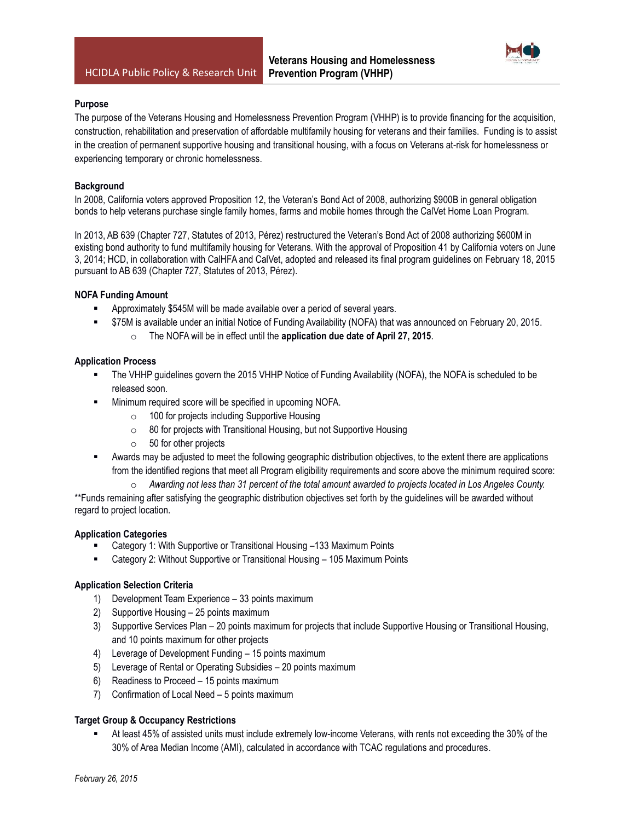

#### **Purpose**

The purpose of the Veterans Housing and Homelessness Prevention Program (VHHP) is to provide financing for the acquisition, construction, rehabilitation and preservation of affordable multifamily housing for veterans and their families. Funding is to assist in the creation of permanent supportive housing and transitional housing, with a focus on Veterans at-risk for homelessness or experiencing temporary or chronic homelessness.

### **Background**

In 2008, California voters approved Proposition 12, the Veteran's Bond Act of 2008, authorizing \$900B in general obligation bonds to help veterans purchase single family homes, farms and mobile homes through the CalVet Home Loan Program.

In 2013, AB 639 (Chapter 727, Statutes of 2013, Pérez) restructured the Veteran's Bond Act of 2008 authorizing \$600M in existing bond authority to fund multifamily housing for Veterans. With the approval of Proposition 41 by California voters on June 3, 2014; HCD, in collaboration with CalHFA and CalVet, adopted and released its final program guidelines on February 18, 2015 pursuant to AB 639 (Chapter 727, Statutes of 2013, Pérez).

#### **NOFA Funding Amount**

- Approximately \$545M will be made available over a period of several years.
- \$75M is available under an initial Notice of Funding Availability (NOFA) that was announced on February 20, 2015.
	- o The NOFA will be in effect until the **application due date of April 27, 2015**.

#### **Application Process**

- The VHHP guidelines govern the 2015 VHHP Notice of Funding Availability (NOFA), the NOFA is scheduled to be released soon.
- Minimum required score will be specified in upcoming NOFA.
	- o 100 for projects including Supportive Housing
	- o 80 for projects with Transitional Housing, but not Supportive Housing
	- $\circ$  50 for other projects
- Awards may be adjusted to meet the following geographic distribution objectives, to the extent there are applications from the identified regions that meet all Program eligibility requirements and score above the minimum required score:
	- o *Awarding not less than 31 percent of the total amount awarded to projects located in Los Angeles County.*

\*\*Funds remaining after satisfying the geographic distribution objectives set forth by the guidelines will be awarded without regard to project location.

#### **Application Categories**

- Category 1: With Supportive or Transitional Housing –133 Maximum Points
- Category 2: Without Supportive or Transitional Housing 105 Maximum Points

#### **Application Selection Criteria**

- 1) Development Team Experience 33 points maximum
- 2) Supportive Housing 25 points maximum
- 3) Supportive Services Plan 20 points maximum for projects that include Supportive Housing or Transitional Housing, and 10 points maximum for other projects
- 4) Leverage of Development Funding 15 points maximum
- 5) Leverage of Rental or Operating Subsidies 20 points maximum
- 6) Readiness to Proceed 15 points maximum
- 7) Confirmation of Local Need 5 points maximum

#### **Target Group & Occupancy Restrictions**

 At least 45% of assisted units must include extremely low-income Veterans, with rents not exceeding the 30% of the 30% of Area Median Income (AMI), calculated in accordance with TCAC regulations and procedures.